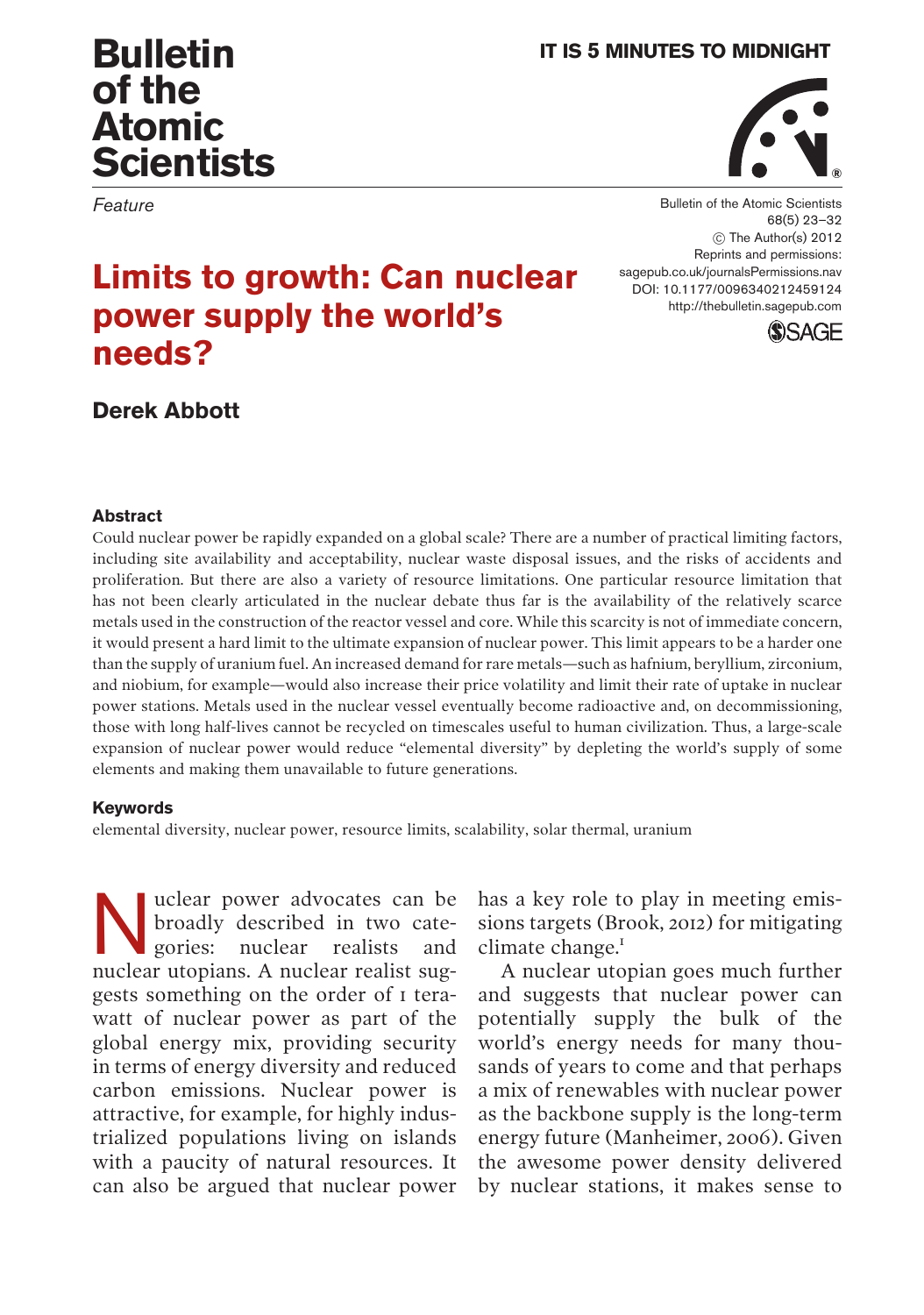### **IT IS 5 MINUTES TO MIDNIGHT**

**Bulletin of the Atomic Scientists**

Feature



Bulletin of the Atomic Scientists 68(5) 23–32  $\circ$  The Author(s) 2012 Reprints and permissions: sagepub.co.uk/journalsPermissions.nav DOI: 10.1177/0096340212459124 http://thebulletin.sagepub.com



# Limits to growth: Can nuclear power supply the world's needs?

## Derek Abbott

#### Abstract

Could nuclear power be rapidly expanded on a global scale? There are a number of practical limiting factors, including site availability and acceptability, nuclear waste disposal issues, and the risks of accidents and proliferation. But there are also a variety of resource limitations. One particular resource limitation that has not been clearly articulated in the nuclear debate thus far is the availability of the relatively scarce metals used in the construction of the reactor vessel and core. While this scarcity is not of immediate concern, it would present a hard limit to the ultimate expansion of nuclear power. This limit appears to be a harder one than the supply of uranium fuel. An increased demand for rare metals—such as hafnium, beryllium, zirconium, and niobium, for example—would also increase their price volatility and limit their rate of uptake in nuclear power stations. Metals used in the nuclear vessel eventually become radioactive and, on decommissioning, those with long half-lives cannot be recycled on timescales useful to human civilization. Thus, a large-scale expansion of nuclear power would reduce "elemental diversity" by depleting the world's supply of some elements and making them unavailable to future generations.

#### Keywords

elemental diversity, nuclear power, resource limits, scalability, solar thermal, uranium

Nuclear power advocates can be<br>broadly described in two cate-<br>gories: nuclear realists and<br>nuclear utopians A nuclear realist sugbroadly described in two categories: nuclear realists and nuclear utopians. A nuclear realist suggests something on the order of 1 terawatt of nuclear power as part of the global energy mix, providing security in terms of energy diversity and reduced carbon emissions. Nuclear power is attractive, for example, for highly industrialized populations living on islands with a paucity of natural resources. It can also be argued that nuclear power

has a key role to play in meeting emissions targets (Brook, 2012) for mitigating climate change.<sup>1</sup>

A nuclear utopian goes much further and suggests that nuclear power can potentially supply the bulk of the world's energy needs for many thousands of years to come and that perhaps a mix of renewables with nuclear power as the backbone supply is the long-term energy future (Manheimer, 2006). Given the awesome power density delivered by nuclear stations, it makes sense to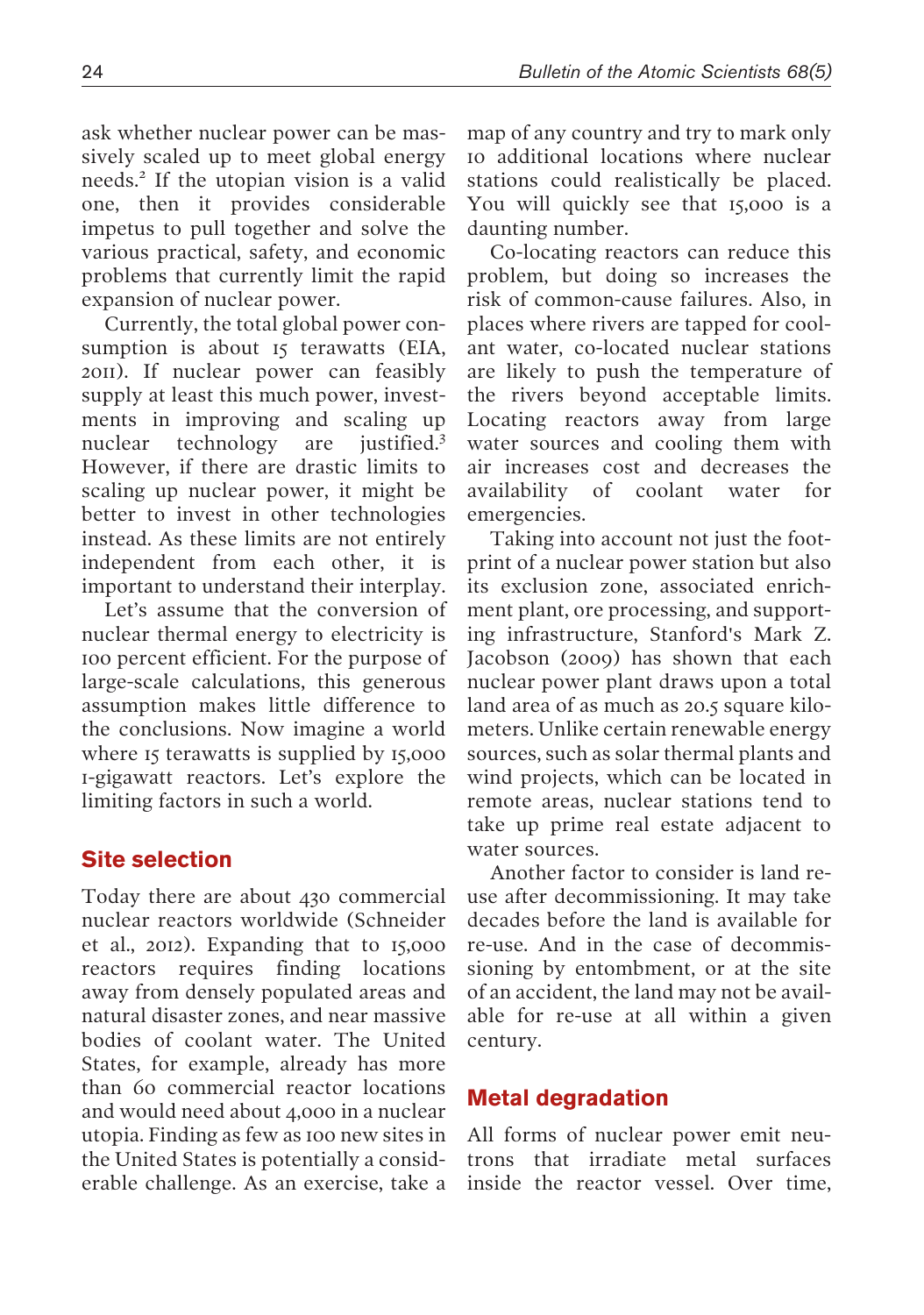ask whether nuclear power can be massively scaled up to meet global energy needs.<sup>2</sup> If the utopian vision is a valid one, then it provides considerable impetus to pull together and solve the various practical, safety, and economic problems that currently limit the rapid expansion of nuclear power.

Currently, the total global power consumption is about 15 terawatts (EIA, 2011). If nuclear power can feasibly supply at least this much power, investments in improving and scaling up nuclear technology are justified.<sup>3</sup> However, if there are drastic limits to scaling up nuclear power, it might be better to invest in other technologies instead. As these limits are not entirely independent from each other, it is important to understand their interplay.

Let's assume that the conversion of nuclear thermal energy to electricity is 100 percent efficient. For the purpose of large-scale calculations, this generous assumption makes little difference to the conclusions. Now imagine a world where 15 terawatts is supplied by 15,000 1-gigawatt reactors. Let's explore the limiting factors in such a world.

# Site selection

Today there are about 430 commercial nuclear reactors worldwide (Schneider et al., 2012). Expanding that to 15,000 reactors requires finding locations away from densely populated areas and natural disaster zones, and near massive bodies of coolant water. The United States, for example, already has more than 60 commercial reactor locations and would need about 4,000 in a nuclear utopia. Finding as few as 100 new sites in the United States is potentially a considerable challenge. As an exercise, take a map of any country and try to mark only 10 additional locations where nuclear stations could realistically be placed. You will quickly see that 15,000 is a daunting number.

Co-locating reactors can reduce this problem, but doing so increases the risk of common-cause failures. Also, in places where rivers are tapped for coolant water, co-located nuclear stations are likely to push the temperature of the rivers beyond acceptable limits. Locating reactors away from large water sources and cooling them with air increases cost and decreases the availability of coolant water for emergencies.

Taking into account not just the footprint of a nuclear power station but also its exclusion zone, associated enrichment plant, ore processing, and supporting infrastructure, Stanford's Mark Z. Jacobson (2009) has shown that each nuclear power plant draws upon a total land area of as much as 20.5 square kilometers. Unlike certain renewable energy sources, such as solar thermal plants and wind projects, which can be located in remote areas, nuclear stations tend to take up prime real estate adjacent to water sources.

Another factor to consider is land reuse after decommissioning. It may take decades before the land is available for re-use. And in the case of decommissioning by entombment, or at the site of an accident, the land may not be available for re-use at all within a given century.

# Metal degradation

All forms of nuclear power emit neutrons that irradiate metal surfaces inside the reactor vessel. Over time,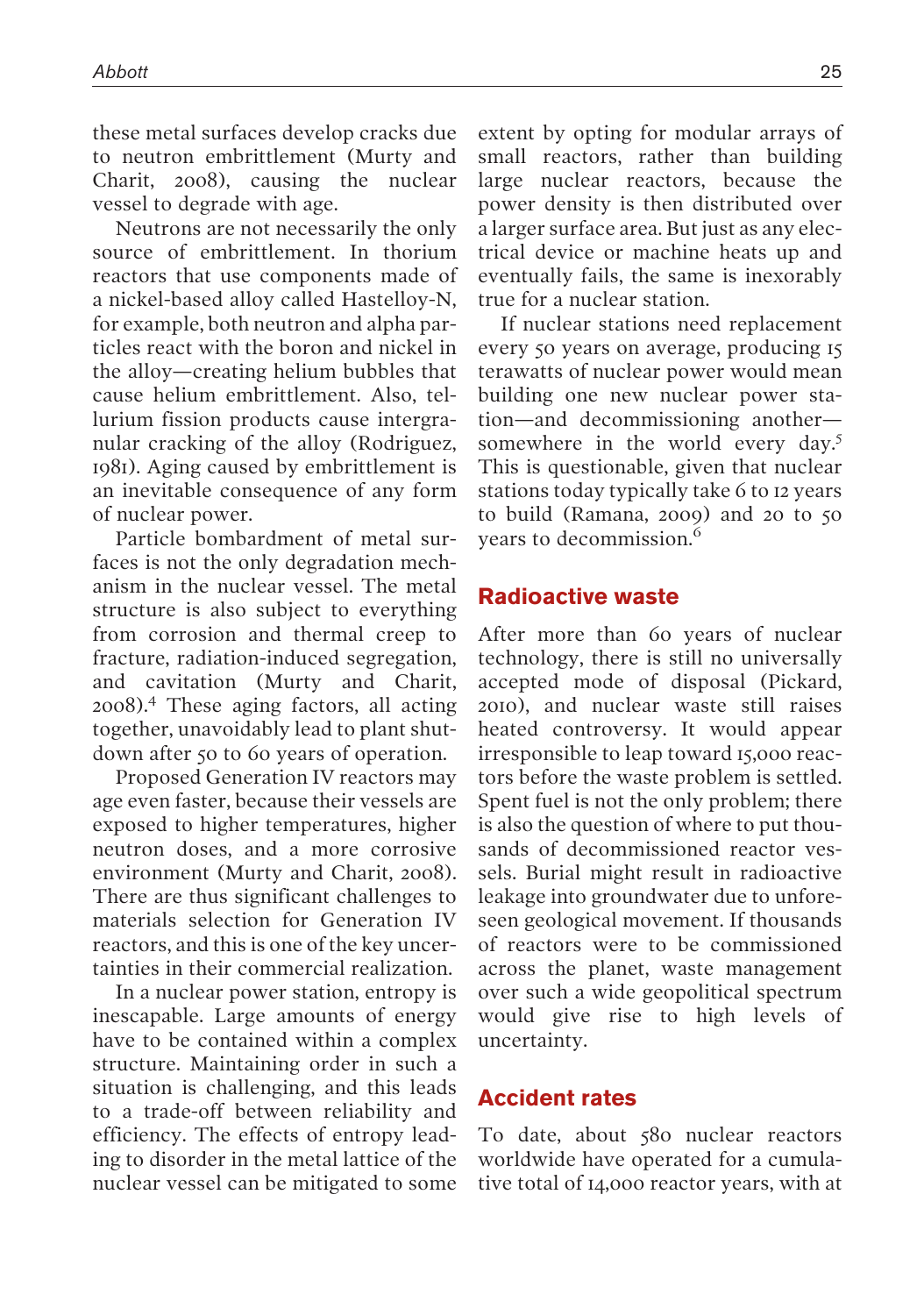these metal surfaces develop cracks due to neutron embrittlement (Murty and Charit, 2008), causing the nuclear vessel to degrade with age.

Neutrons are not necessarily the only source of embrittlement. In thorium reactors that use components made of a nickel-based alloy called Hastelloy-N, for example, both neutron and alpha particles react with the boron and nickel in the alloy—creating helium bubbles that cause helium embrittlement. Also, tellurium fission products cause intergranular cracking of the alloy (Rodriguez, 1981). Aging caused by embrittlement is an inevitable consequence of any form of nuclear power.

Particle bombardment of metal surfaces is not the only degradation mechanism in the nuclear vessel. The metal structure is also subject to everything from corrosion and thermal creep to fracture, radiation-induced segregation, and cavitation (Murty and Charit, 2008).<sup>4</sup> These aging factors, all acting together, unavoidably lead to plant shutdown after 50 to 60 years of operation.

Proposed Generation IV reactors may age even faster, because their vessels are exposed to higher temperatures, higher neutron doses, and a more corrosive environment (Murty and Charit, 2008). There are thus significant challenges to materials selection for Generation IV reactors, and this is one of the key uncertainties in their commercial realization.

In a nuclear power station, entropy is inescapable. Large amounts of energy have to be contained within a complex structure. Maintaining order in such a situation is challenging, and this leads to a trade-off between reliability and efficiency. The effects of entropy leading to disorder in the metal lattice of the nuclear vessel can be mitigated to some

extent by opting for modular arrays of small reactors, rather than building large nuclear reactors, because the power density is then distributed over a larger surface area. But just as any electrical device or machine heats up and eventually fails, the same is inexorably true for a nuclear station.

If nuclear stations need replacement every 50 years on average, producing 15 terawatts of nuclear power would mean building one new nuclear power station—and decommissioning another somewhere in the world every day.<sup>5</sup> This is questionable, given that nuclear stations today typically take 6 to 12 years to build (Ramana, 2009) and 20 to 50 years to decommission.<sup>6</sup>

#### Radioactive waste

After more than 60 years of nuclear technology, there is still no universally accepted mode of disposal (Pickard, 2010), and nuclear waste still raises heated controversy. It would appear irresponsible to leap toward 15,000 reactors before the waste problem is settled. Spent fuel is not the only problem; there is also the question of where to put thousands of decommissioned reactor vessels. Burial might result in radioactive leakage into groundwater due to unforeseen geological movement. If thousands of reactors were to be commissioned across the planet, waste management over such a wide geopolitical spectrum would give rise to high levels of uncertainty.

#### Accident rates

To date, about 580 nuclear reactors worldwide have operated for a cumulative total of 14,000 reactor years, with at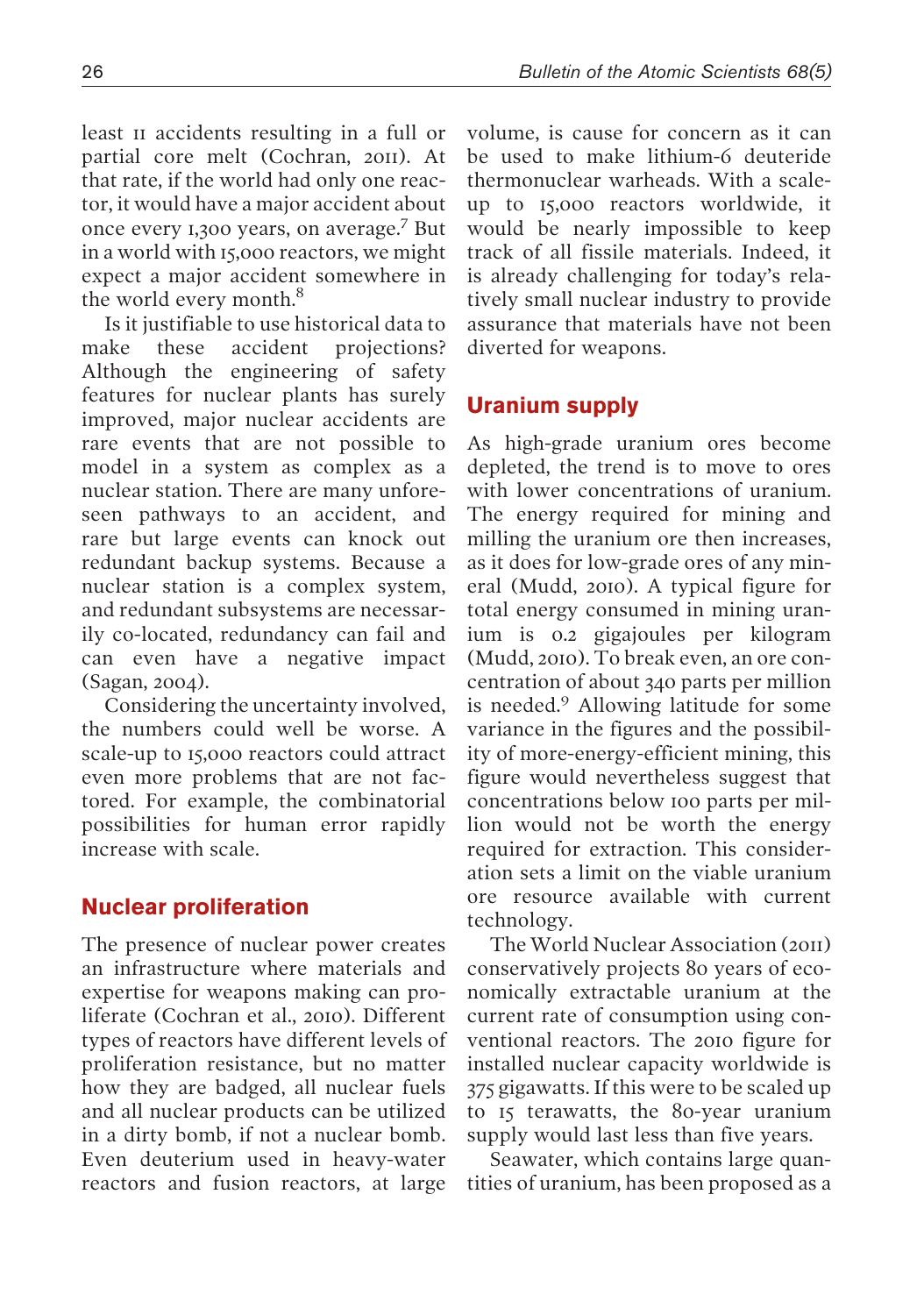least 11 accidents resulting in a full or partial core melt (Cochran, 2011). At that rate, if the world had only one reactor, it would have a major accident about once every 1,300 years, on average.<sup>7</sup> But in a world with 15,000 reactors, we might expect a major accident somewhere in the world every month.<sup>8</sup>

Is it justifiable to use historical data to make these accident projections? Although the engineering of safety features for nuclear plants has surely improved, major nuclear accidents are rare events that are not possible to model in a system as complex as a nuclear station. There are many unforeseen pathways to an accident, and rare but large events can knock out redundant backup systems. Because a nuclear station is a complex system, and redundant subsystems are necessarily co-located, redundancy can fail and can even have a negative impact (Sagan, 2004).

Considering the uncertainty involved, the numbers could well be worse. A scale-up to 15,000 reactors could attract even more problems that are not factored. For example, the combinatorial possibilities for human error rapidly increase with scale.

### Nuclear proliferation

The presence of nuclear power creates an infrastructure where materials and expertise for weapons making can proliferate (Cochran et al., 2010). Different types of reactors have different levels of proliferation resistance, but no matter how they are badged, all nuclear fuels and all nuclear products can be utilized in a dirty bomb, if not a nuclear bomb. Even deuterium used in heavy-water reactors and fusion reactors, at large volume, is cause for concern as it can be used to make lithium-6 deuteride thermonuclear warheads. With a scaleup to 15,000 reactors worldwide, it would be nearly impossible to keep track of all fissile materials. Indeed, it is already challenging for today's relatively small nuclear industry to provide assurance that materials have not been diverted for weapons.

### Uranium supply

As high-grade uranium ores become depleted, the trend is to move to ores with lower concentrations of uranium. The energy required for mining and milling the uranium ore then increases, as it does for low-grade ores of any mineral (Mudd, 2010). A typical figure for total energy consumed in mining uranium is 0.2 gigajoules per kilogram (Mudd, 2010). To break even, an ore concentration of about 340 parts per million is needed.<sup>9</sup> Allowing latitude for some variance in the figures and the possibility of more-energy-efficient mining, this figure would nevertheless suggest that concentrations below 100 parts per million would not be worth the energy required for extraction. This consideration sets a limit on the viable uranium ore resource available with current technology.

The World Nuclear Association (2011) conservatively projects 80 years of economically extractable uranium at the current rate of consumption using conventional reactors. The 2010 figure for installed nuclear capacity worldwide is 375 gigawatts. If this were to be scaled up to 15 terawatts, the 80-year uranium supply would last less than five years.

Seawater, which contains large quantities of uranium, has been proposed as a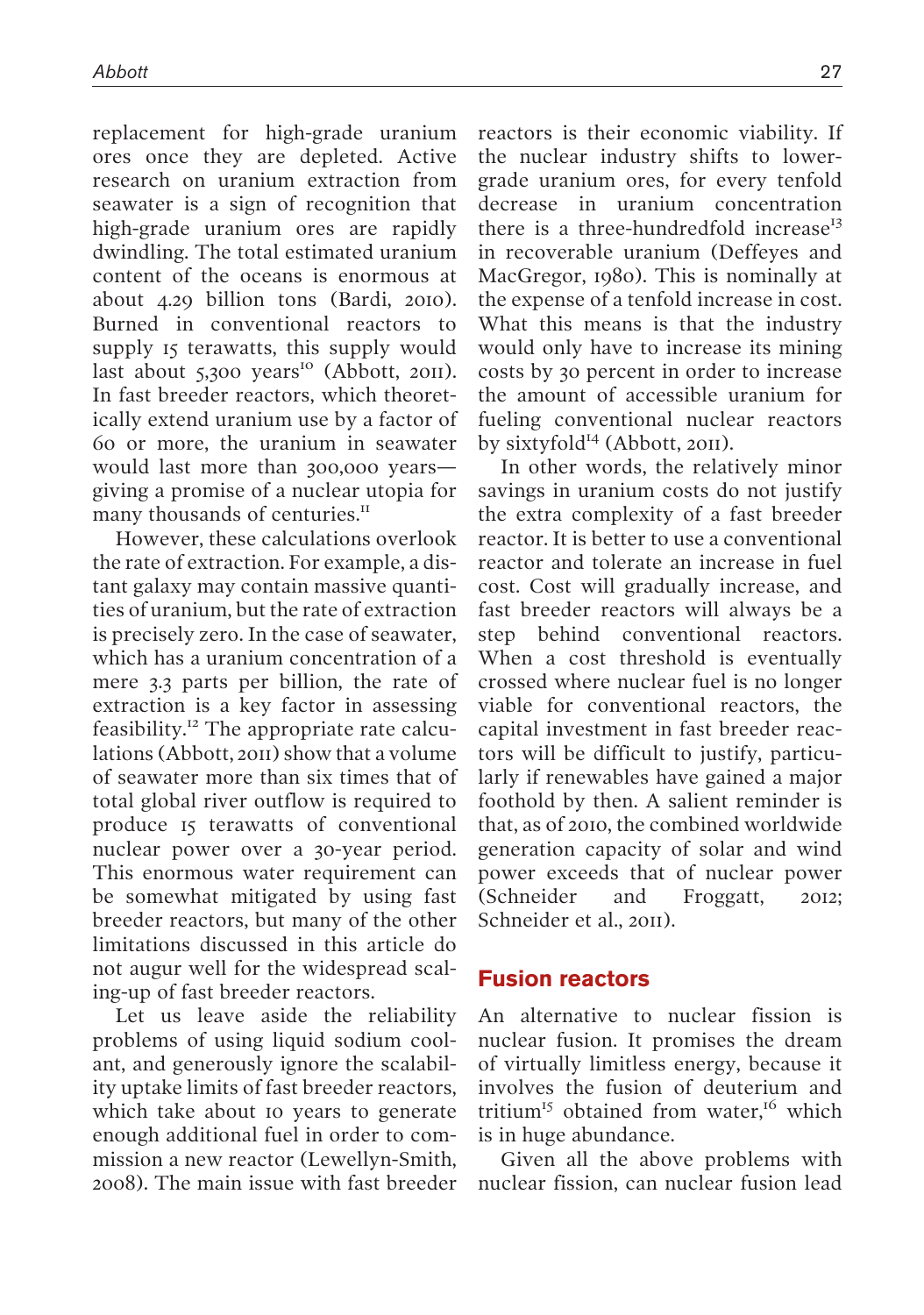replacement for high-grade uranium ores once they are depleted. Active research on uranium extraction from seawater is a sign of recognition that high-grade uranium ores are rapidly dwindling. The total estimated uranium content of the oceans is enormous at about 4.29 billion tons (Bardi, 2010). Burned in conventional reactors to supply 15 terawatts, this supply would last about  $5,300$  years<sup>10</sup> (Abbott, 2011). In fast breeder reactors, which theoretically extend uranium use by a factor of 60 or more, the uranium in seawater would last more than  $300,000$  years giving a promise of a nuclear utopia for many thousands of centuries.<sup>11</sup>

However, these calculations overlook the rate of extraction. For example, a distant galaxy may contain massive quantities of uranium, but the rate of extraction is precisely zero. In the case of seawater, which has a uranium concentration of a mere 3.3 parts per billion, the rate of extraction is a key factor in assessing feasibility.<sup>12</sup> The appropriate rate calculations (Abbott, 2011) show that a volume of seawater more than six times that of total global river outflow is required to produce 15 terawatts of conventional nuclear power over a 30-year period. This enormous water requirement can be somewhat mitigated by using fast breeder reactors, but many of the other limitations discussed in this article do not augur well for the widespread scaling-up of fast breeder reactors.

Let us leave aside the reliability problems of using liquid sodium coolant, and generously ignore the scalability uptake limits of fast breeder reactors, which take about 10 years to generate enough additional fuel in order to commission a new reactor (Lewellyn-Smith, 2008). The main issue with fast breeder reactors is their economic viability. If the nuclear industry shifts to lowergrade uranium ores, for every tenfold decrease in uranium concentration there is a three-hundredfold increase<sup>13</sup> in recoverable uranium (Deffeyes and MacGregor, 1980). This is nominally at the expense of a tenfold increase in cost. What this means is that the industry would only have to increase its mining costs by 30 percent in order to increase the amount of accessible uranium for fueling conventional nuclear reactors by sixtyfold<sup>14</sup> (Abbott, 2011).

In other words, the relatively minor savings in uranium costs do not justify the extra complexity of a fast breeder reactor. It is better to use a conventional reactor and tolerate an increase in fuel cost. Cost will gradually increase, and fast breeder reactors will always be a step behind conventional reactors. When a cost threshold is eventually crossed where nuclear fuel is no longer viable for conventional reactors, the capital investment in fast breeder reactors will be difficult to justify, particularly if renewables have gained a major foothold by then. A salient reminder is that, as of 2010, the combined worldwide generation capacity of solar and wind power exceeds that of nuclear power (Schneider and Froggatt, 2012; Schneider et al., 2011).

#### Fusion reactors

An alternative to nuclear fission is nuclear fusion. It promises the dream of virtually limitless energy, because it involves the fusion of deuterium and tritium<sup>15</sup> obtained from water,<sup>16</sup> which is in huge abundance.

Given all the above problems with nuclear fission, can nuclear fusion lead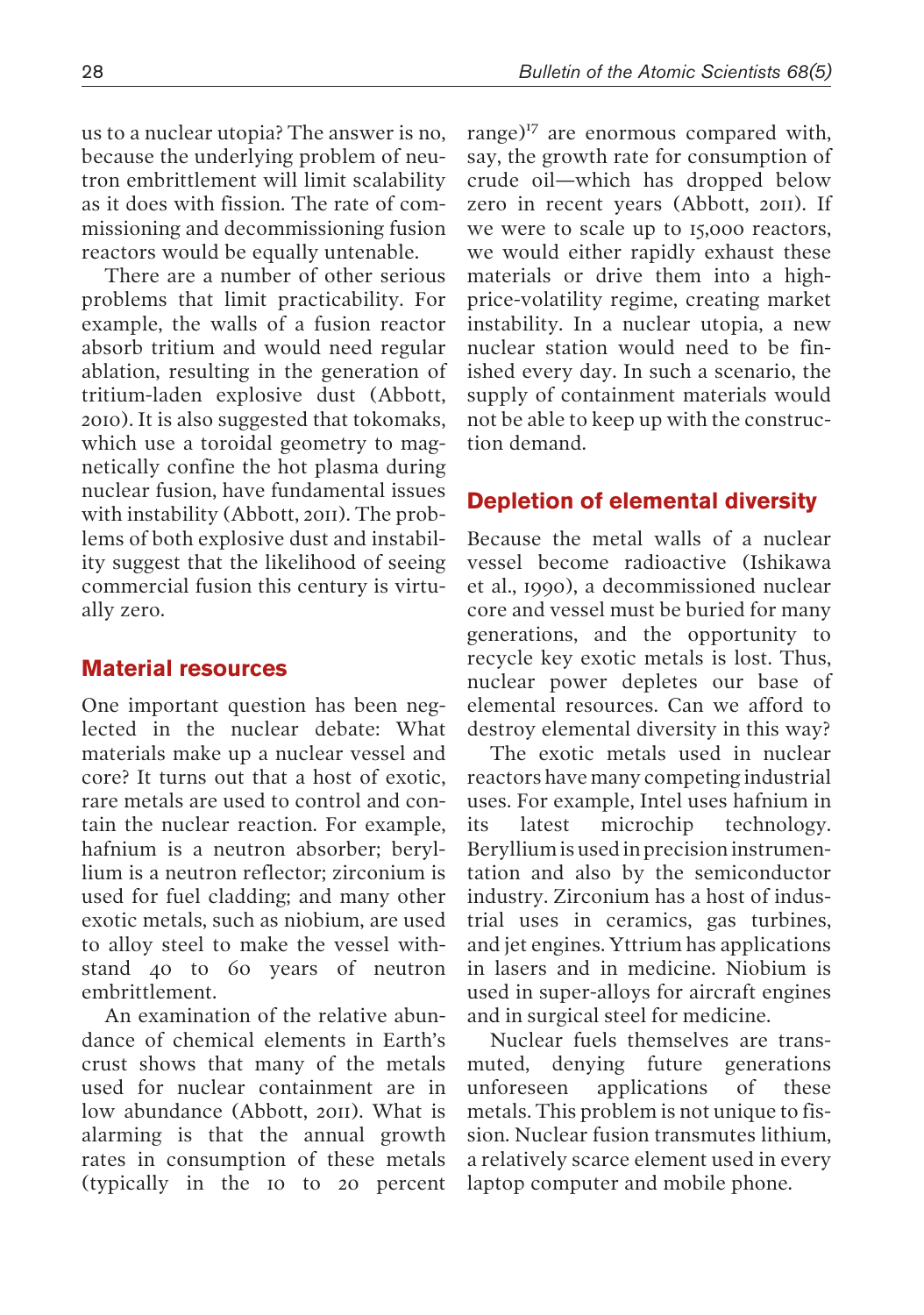us to a nuclear utopia? The answer is no, because the underlying problem of neutron embrittlement will limit scalability as it does with fission. The rate of commissioning and decommissioning fusion reactors would be equally untenable.

There are a number of other serious problems that limit practicability. For example, the walls of a fusion reactor absorb tritium and would need regular ablation, resulting in the generation of tritium-laden explosive dust (Abbott, 2010). It is also suggested that tokomaks, which use a toroidal geometry to magnetically confine the hot plasma during nuclear fusion, have fundamental issues with instability (Abbott, 2011). The problems of both explosive dust and instability suggest that the likelihood of seeing commercial fusion this century is virtually zero.

### Material resources

One important question has been neglected in the nuclear debate: What materials make up a nuclear vessel and core? It turns out that a host of exotic, rare metals are used to control and contain the nuclear reaction. For example, hafnium is a neutron absorber; beryllium is a neutron reflector; zirconium is used for fuel cladding; and many other exotic metals, such as niobium, are used to alloy steel to make the vessel withstand 40 to 60 years of neutron embrittlement.

An examination of the relative abundance of chemical elements in Earth's crust shows that many of the metals used for nuclear containment are in low abundance (Abbott, 2011). What is alarming is that the annual growth rates in consumption of these metals (typically in the 10 to 20 percent range) $17$  are enormous compared with, say, the growth rate for consumption of crude oil—which has dropped below zero in recent years (Abbott, 2011). If we were to scale up to 15,000 reactors, we would either rapidly exhaust these materials or drive them into a highprice-volatility regime, creating market instability. In a nuclear utopia, a new nuclear station would need to be finished every day. In such a scenario, the supply of containment materials would not be able to keep up with the construction demand.

### Depletion of elemental diversity

Because the metal walls of a nuclear vessel become radioactive (Ishikawa et al., 1990), a decommissioned nuclear core and vessel must be buried for many generations, and the opportunity to recycle key exotic metals is lost. Thus, nuclear power depletes our base of elemental resources. Can we afford to destroy elemental diversity in this way?

The exotic metals used in nuclear reactors have many competing industrial uses. For example, Intel uses hafnium in its latest microchip technology. Beryllium is used in precision instrumentation and also by the semiconductor industry. Zirconium has a host of industrial uses in ceramics, gas turbines, and jet engines. Yttrium has applications in lasers and in medicine. Niobium is used in super-alloys for aircraft engines and in surgical steel for medicine.

Nuclear fuels themselves are transmuted, denying future generations unforeseen applications of these metals. This problem is not unique to fission. Nuclear fusion transmutes lithium, a relatively scarce element used in every laptop computer and mobile phone.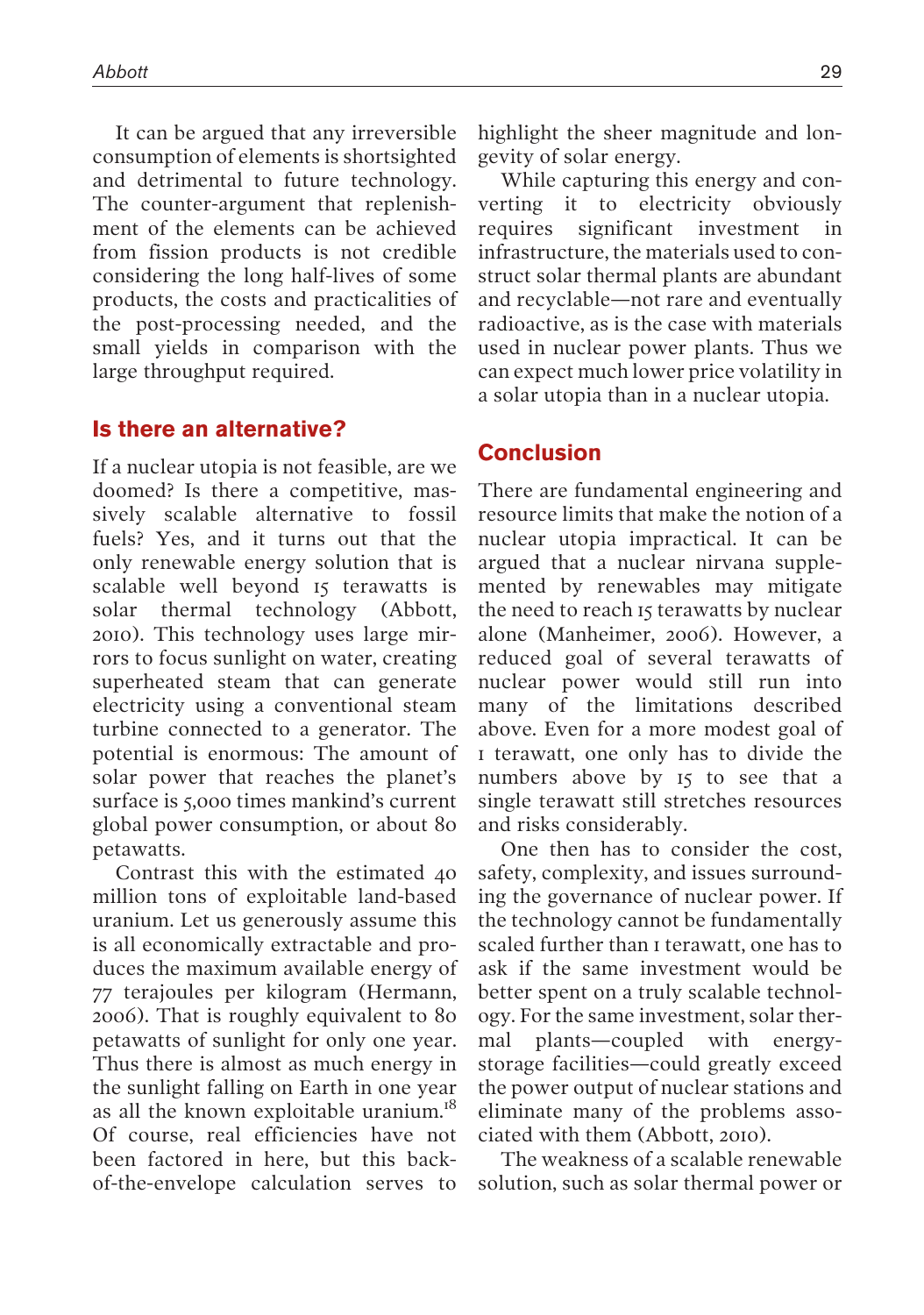It can be argued that any irreversible consumption of elements is shortsighted and detrimental to future technology. The counter-argument that replenishment of the elements can be achieved from fission products is not credible considering the long half-lives of some products, the costs and practicalities of the post-processing needed, and the small yields in comparison with the large throughput required.

#### Is there an alternative?

If a nuclear utopia is not feasible, are we doomed? Is there a competitive, massively scalable alternative to fossil fuels? Yes, and it turns out that the only renewable energy solution that is scalable well beyond 15 terawatts is solar thermal technology (Abbott, 2010). This technology uses large mirrors to focus sunlight on water, creating superheated steam that can generate electricity using a conventional steam turbine connected to a generator. The potential is enormous: The amount of solar power that reaches the planet's surface is 5,000 times mankind's current global power consumption, or about 80 petawatts.

Contrast this with the estimated 40 million tons of exploitable land-based uranium. Let us generously assume this is all economically extractable and produces the maximum available energy of 77 terajoules per kilogram (Hermann, 2006). That is roughly equivalent to 80 petawatts of sunlight for only one year. Thus there is almost as much energy in the sunlight falling on Earth in one year as all the known exploitable uranium.<sup>18</sup> Of course, real efficiencies have not been factored in here, but this backof-the-envelope calculation serves to

highlight the sheer magnitude and longevity of solar energy.

While capturing this energy and converting it to electricity obviously requires significant investment in infrastructure, the materials used to construct solar thermal plants are abundant and recyclable—not rare and eventually radioactive, as is the case with materials used in nuclear power plants. Thus we can expect much lower price volatility in a solar utopia than in a nuclear utopia.

#### Conclusion

There are fundamental engineering and resource limits that make the notion of a nuclear utopia impractical. It can be argued that a nuclear nirvana supplemented by renewables may mitigate the need to reach 15 terawatts by nuclear alone (Manheimer, 2006). However, a reduced goal of several terawatts of nuclear power would still run into many of the limitations described above. Even for a more modest goal of 1 terawatt, one only has to divide the numbers above by 15 to see that a single terawatt still stretches resources and risks considerably.

One then has to consider the cost, safety, complexity, and issues surrounding the governance of nuclear power. If the technology cannot be fundamentally scaled further than I terawatt, one has to ask if the same investment would be better spent on a truly scalable technology. For the same investment, solar thermal plants—coupled with energystorage facilities—could greatly exceed the power output of nuclear stations and eliminate many of the problems associated with them (Abbott, 2010).

The weakness of a scalable renewable solution, such as solar thermal power or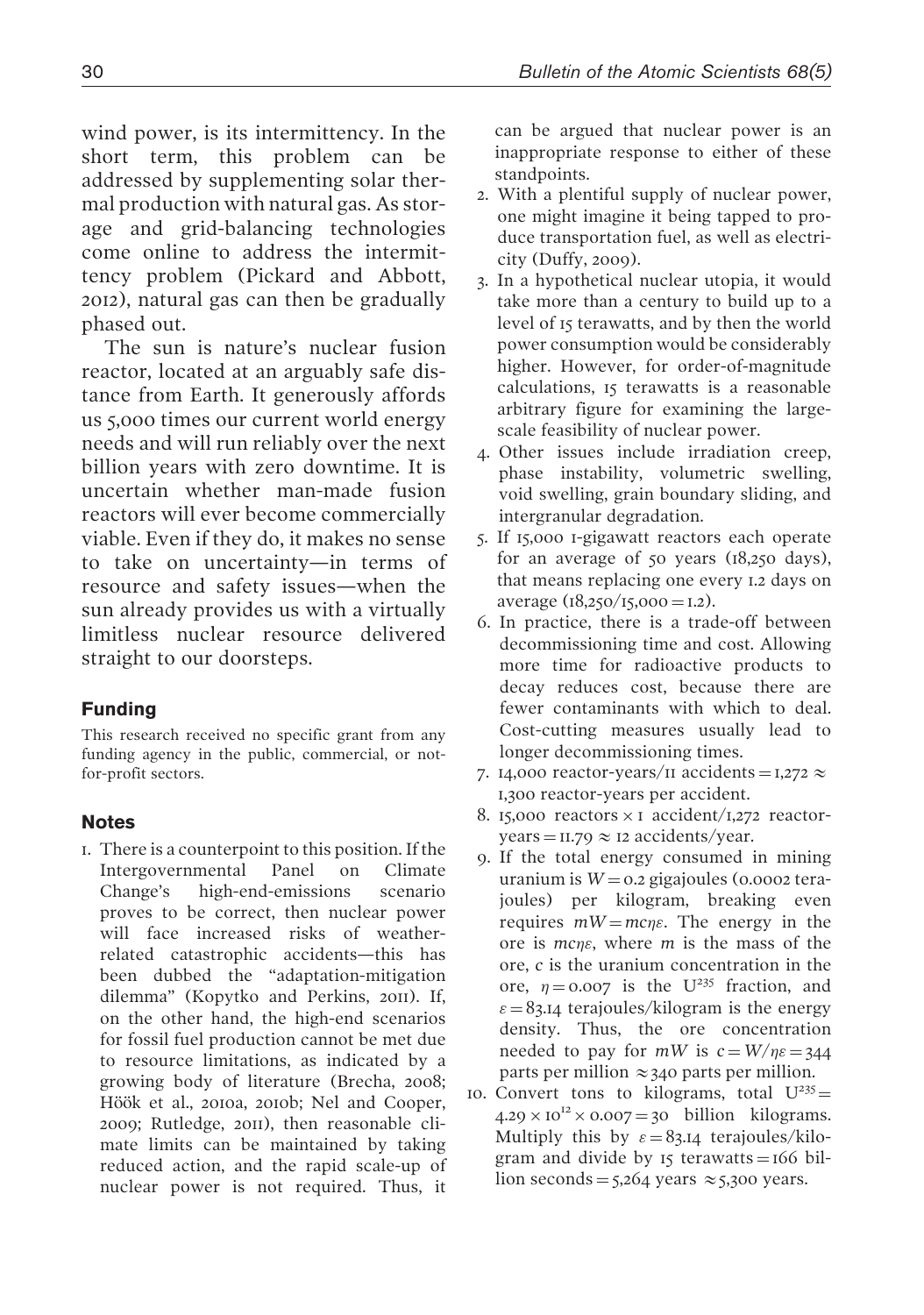wind power, is its intermittency. In the short term, this problem can be addressed by supplementing solar thermal production with natural gas. As storage and grid-balancing technologies come online to address the intermittency problem (Pickard and Abbott, 2012), natural gas can then be gradually phased out.

The sun is nature's nuclear fusion reactor, located at an arguably safe distance from Earth. It generously affords us 5,000 times our current world energy needs and will run reliably over the next billion years with zero downtime. It is uncertain whether man-made fusion reactors will ever become commercially viable. Even if they do, it makes no sense to take on uncertainty—in terms of resource and safety issues—when the sun already provides us with a virtually limitless nuclear resource delivered straight to our doorsteps.

### Funding

This research received no specific grant from any funding agency in the public, commercial, or notfor-profit sectors.

### Notes

1. There is a counterpoint to this position. If the Intergovernmental Panel on Climate Change's high-end-emissions scenario proves to be correct, then nuclear power will face increased risks of weatherrelated catastrophic accidents-this has been dubbed the "adaptation-mitigation dilemma" (Kopytko and Perkins, 2011). If, on the other hand, the high-end scenarios for fossil fuel production cannot be met due to resource limitations, as indicated by a growing body of literature (Brecha, 2008; Höök et al., 2010a, 2010b; Nel and Cooper, 2009; Rutledge, 2011), then reasonable climate limits can be maintained by taking reduced action, and the rapid scale-up of nuclear power is not required. Thus, it can be argued that nuclear power is an inappropriate response to either of these standpoints.

- 2. With a plentiful supply of nuclear power, one might imagine it being tapped to produce transportation fuel, as well as electricity (Duffy, 2009).
- 3. In a hypothetical nuclear utopia, it would take more than a century to build up to a level of 15 terawatts, and by then the world power consumption would be considerably higher. However, for order-of-magnitude calculations, 15 terawatts is a reasonable arbitrary figure for examining the largescale feasibility of nuclear power.
- 4. Other issues include irradiation creep, phase instability, volumetric swelling, void swelling, grain boundary sliding, and intergranular degradation.
- 5. If 15,000 1-gigawatt reactors each operate for an average of 50 years (18,250 days), that means replacing one every 1.2 days on average  $(18,250/15,000 = 1.2)$ .
- 6. In practice, there is a trade-off between decommissioning time and cost. Allowing more time for radioactive products to decay reduces cost, because there are fewer contaminants with which to deal. Cost-cutting measures usually lead to longer decommissioning times.
- 7. 14,000 reactor-years/ $\text{II}$  accidents = 1,272  $\approx$ 1,300 reactor-years per accident.
- 8. 15,000 reactors  $\times$  1 accident/1,272 reactoryears =  $11.79 \approx 12$  accidents/year.
- 9. If the total energy consumed in mining uranium is  $W = 0.2$  gigajoules (0.0002 terajoules) per kilogram, breaking even requires  $mW = mc\eta\varepsilon$ . The energy in the ore is  $mc\eta\varepsilon$ , where m is the mass of the ore, c is the uranium concentration in the ore,  $\eta = 0.007$  is the U<sup>235</sup> fraction, and  $\varepsilon = 8$ 3.14 terajoules/kilogram is the energy density. Thus, the ore concentration needed to pay for  $mW$  is  $c = W/n\varepsilon = 344$ parts per million  $\approx$ 340 parts per million.
- 10. Convert tons to kilograms, total  $U^{235}$  =  $4.29 \times 10^{12} \times 0.007 = 30$  billion kilograms. Multiply this by  $\varepsilon = 83.14$  terajoules/kilogram and divide by  $15$  terawatts =  $166$  billion seconds =  $5,264$  years  $\approx$  5,300 years.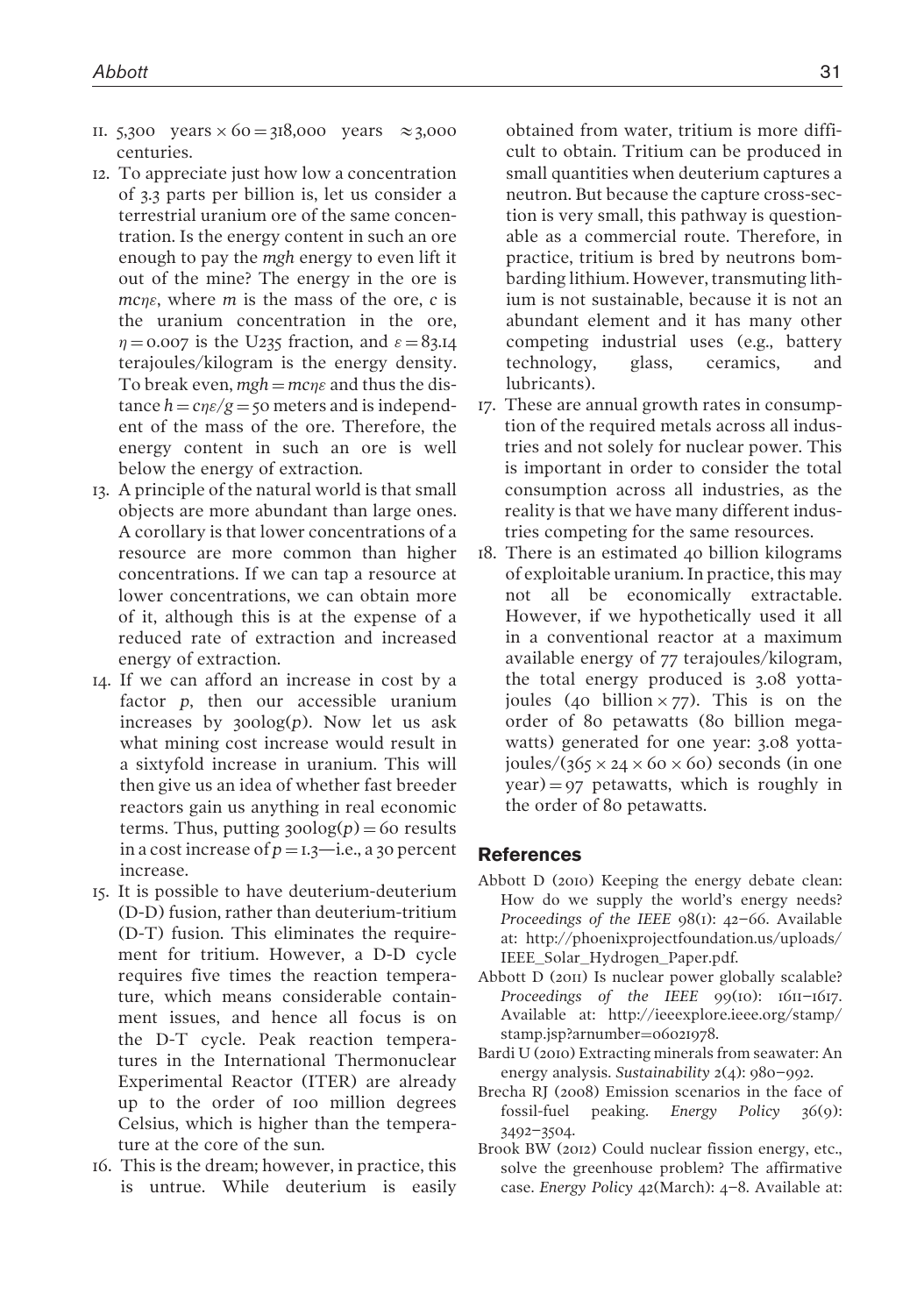- II. 5,300 years  $\times 60 = 318,000$  years  $\approx 3,000$ centuries.
- 12. To appreciate just how low a concentration of 3.3 parts per billion is, let us consider a terrestrial uranium ore of the same concentration. Is the energy content in such an ore enough to pay the mgh energy to even lift it out of the mine? The energy in the ore is  $mc\eta\varepsilon$ , where m is the mass of the ore, c is the uranium concentration in the ore,  $\eta$  = 0.007 is the U235 fraction, and  $\varepsilon$  = 83.14 terajoules/kilogram is the energy density. To break even,  $mgh = mc\eta\varepsilon$  and thus the distance  $h = c\eta\varepsilon/g =$  50 meters and is independent of the mass of the ore. Therefore, the energy content in such an ore is well below the energy of extraction.
- 13. A principle of the natural world is that small objects are more abundant than large ones. A corollary is that lower concentrations of a resource are more common than higher concentrations. If we can tap a resource at lower concentrations, we can obtain more of it, although this is at the expense of a reduced rate of extraction and increased energy of extraction.
- 14. If we can afford an increase in cost by a factor p, then our accessible uranium increases by  $300\log(p)$ . Now let us ask what mining cost increase would result in a sixtyfold increase in uranium. This will then give us an idea of whether fast breeder reactors gain us anything in real economic terms. Thus, putting  $300\log(p) = 60$  results in a cost increase of  $p = 1.3$ —i.e., a 30 percent increase.
- 15. It is possible to have deuterium-deuterium (D-D) fusion, rather than deuterium-tritium (D-T) fusion. This eliminates the requirement for tritium. However, a D-D cycle requires five times the reaction temperature, which means considerable containment issues, and hence all focus is on the D-T cycle. Peak reaction temperatures in the International Thermonuclear Experimental Reactor (ITER) are already up to the order of 100 million degrees Celsius, which is higher than the temperature at the core of the sun.
- 16. This is the dream; however, in practice, this is untrue. While deuterium is easily

obtained from water, tritium is more difficult to obtain. Tritium can be produced in small quantities when deuterium captures a neutron. But because the capture cross-section is very small, this pathway is questionable as a commercial route. Therefore, in practice, tritium is bred by neutrons bombarding lithium. However, transmuting lithium is not sustainable, because it is not an abundant element and it has many other competing industrial uses (e.g., battery technology, glass, ceramics, and lubricants).

- 17. These are annual growth rates in consumption of the required metals across all industries and not solely for nuclear power. This is important in order to consider the total consumption across all industries, as the reality is that we have many different industries competing for the same resources.
- 18. There is an estimated 40 billion kilograms of exploitable uranium. In practice, this may not all be economically extractable. However, if we hypothetically used it all in a conventional reactor at a maximum available energy of 77 terajoules/kilogram, the total energy produced is 3.08 yottajoules (40 billion  $\times$  77). This is on the order of 80 petawatts (80 billion megawatts) generated for one year: 3.08 yottajoules/( $365 \times 24 \times 60 \times 60$ ) seconds (in one  $year$ ) = 97 petawatts, which is roughly in the order of 80 petawatts.

#### References

- Abbott D (2010) Keeping the energy debate clean: How do we supply the world's energy needs? Proceedings of the IEEE  $98(1)$ : 42-66. Available at: http://phoenixprojectfoundation.us/uploads/ IEEE\_Solar\_Hydrogen\_Paper.pdf.
- Abbott D (2011) Is nuclear power globally scalable? Proceedings of the IEEE 99(10): 1611-1617. Available at: http://ieeexplore.ieee.org/stamp/ stamp.jsp?arnumber=06021978.
- Bardi U (2010) Extracting minerals from seawater: An energy analysis. Sustainability  $2(4)$ :  $980 - 992$ .
- Brecha RJ (2008) Emission scenarios in the face of fossil-fuel peaking. Energy Policy 36(9): 3492-3504.
- Brook BW (2012) Could nuclear fission energy, etc., solve the greenhouse problem? The affirmative case. Energy Policy  $42$ (March):  $4-8$ . Available at: